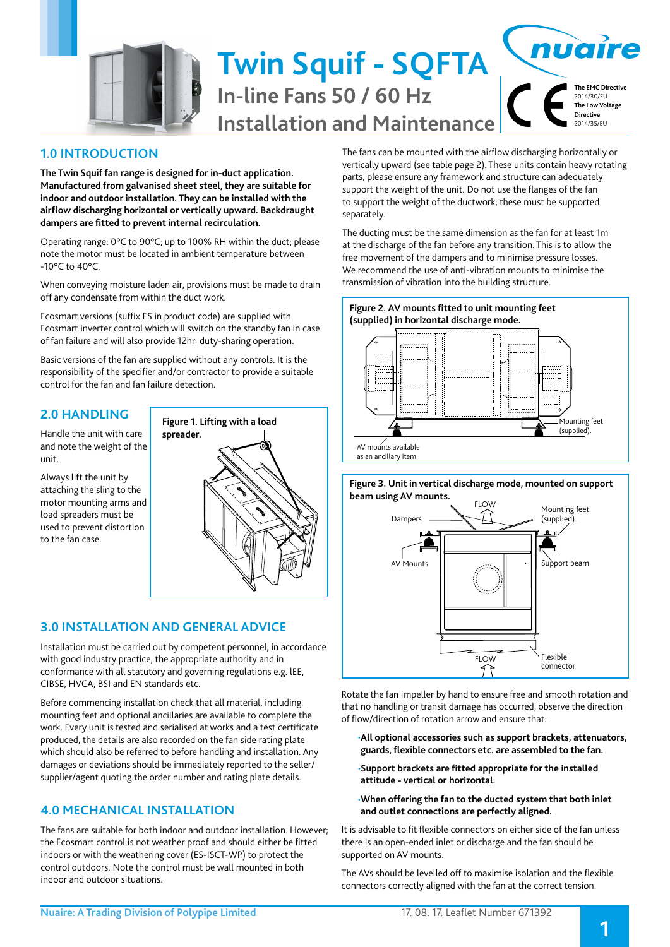

#### nuaire **Twin Squif - SQFTA The EMC Directive In-line Fans 50 / 60 Hz** 2014/30/EU **The Low Voltage Directive Installation and Maintenance** 2014/35/EU

## **1.0 INTRODUCTION**

**The Twin Squif fan range is designed for in-duct application. Manufactured from galvanised sheet steel, they are suitable for indoor and outdoor installation. They can be installed with the airflow discharging horizontal or vertically upward. Backdraught dampers are fitted to prevent internal recirculation.**

Operating range: 0°C to 90°C; up to 100% RH within the duct; please note the motor must be located in ambient temperature between -10°C to 40°C.

When conveying moisture laden air, provisions must be made to drain off any condensate from within the duct work.

Ecosmart versions (suffix ES in product code) are supplied with Ecosmart inverter control which will switch on the standby fan in case of fan failure and will also provide 12hr duty-sharing operation.

Basic versions of the fan are supplied without any controls. It is the responsibility of the specifier and/or contractor to provide a suitable control for the fan and fan failure detection.

### **2.0 HANDLING**

Handle the unit with care and note the weight of the unit.

Always lift the unit by attaching the sling to the motor mounting arms and load spreaders must be used to prevent distortion to the fan case.



## **3.0 INSTALLATION AND GENERAL ADVICE**

Installation must be carried out by competent personnel, in accordance with good industry practice, the appropriate authority and in conformance with all statutory and governing regulations e.g. lEE, CIBSE, HVCA, BSI and EN standards etc.

Before commencing installation check that all material, including mounting feet and optional ancillaries are available to complete the work. Every unit is tested and serialised at works and a test certificate produced, the details are also recorded on the fan side rating plate which should also be referred to before handling and installation. Any damages or deviations should be immediately reported to the seller/ supplier/agent quoting the order number and rating plate details.

## **4.0 MECHANICAL INSTALLATION**

The fans are suitable for both indoor and outdoor installation. However; the Ecosmart control is not weather proof and should either be fitted indoors or with the weathering cover (ES-ISCT-WP) to protect the control outdoors. Note the control must be wall mounted in both indoor and outdoor situations.

The fans can be mounted with the airflow discharging horizontally or vertically upward (see table page 2). These units contain heavy rotating parts, please ensure any framework and structure can adequately support the weight of the unit. Do not use the flanges of the fan to support the weight of the ductwork; these must be supported separately.

The ducting must be the same dimension as the fan for at least 1m at the discharge of the fan before any transition. This is to allow the free movement of the dampers and to minimise pressure losses. We recommend the use of anti-vibration mounts to minimise the transmission of vibration into the building structure.



**Figure 3. Unit in vertical discharge mode, mounted on support beam using AV mounts.**



Rotate the fan impeller by hand to ensure free and smooth rotation and that no handling or transit damage has occurred, observe the direction of flow/direction of rotation arrow and ensure that:

- •**All optional accessories such as support brackets, attenuators, guards, flexible connectors etc. are assembled to the fan.**
- •**Support brackets are fitted appropriate for the installed attitude - vertical or horizontal.**

#### •**When offering the fan to the ducted system that both inlet and outlet connections are perfectly aligned.**

It is advisable to fit flexible connectors on either side of the fan unless there is an open-ended inlet or discharge and the fan should be supported on AV mounts.

The AVs should be levelled off to maximise isolation and the flexible connectors correctly aligned with the fan at the correct tension.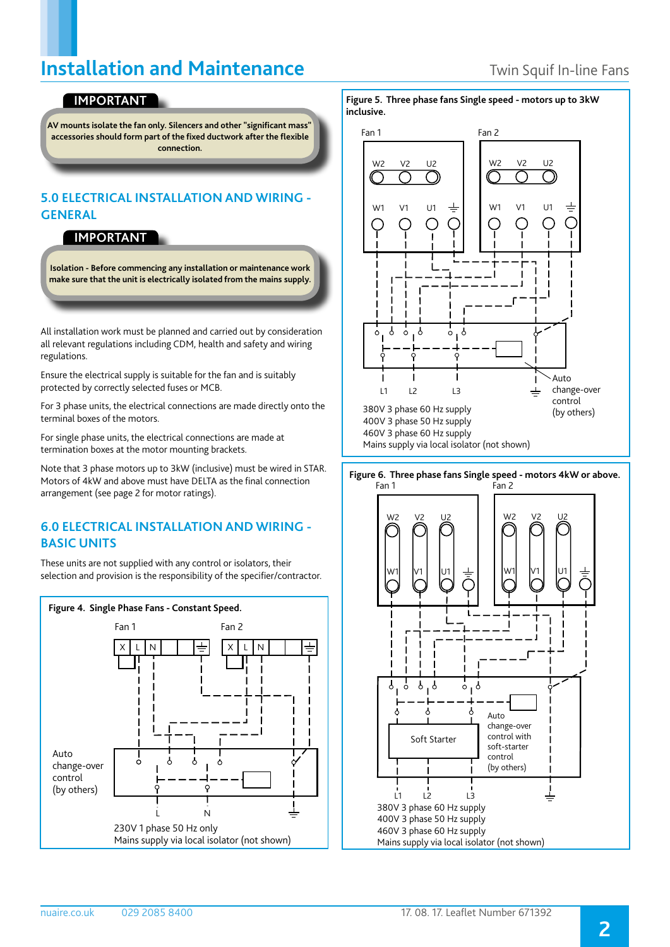## **Installation and Maintenance** Twin Squif In-line Fans

## **IMPORTANT**

**AV mounts isolate the fan only. Silencers and other "significant mass" accessories should form part of the fixed ductwork after the flexible connection.**

### **5.0 ELECTRICAL INSTALLATION AND WIRING - GENERAL**

#### **IMPORTANT**

**Isolation - Before commencing any installation or maintenance work make sure that the unit is electrically isolated from the mains supply.**

All installation work must be planned and carried out by consideration all relevant regulations including CDM, health and safety and wiring regulations.

Ensure the electrical supply is suitable for the fan and is suitably protected by correctly selected fuses or MCB.

For 3 phase units, the electrical connections are made directly onto the terminal boxes of the motors.

For single phase units, the electrical connections are made at termination boxes at the motor mounting brackets.

Note that 3 phase motors up to 3kW (inclusive) must be wired in STAR. Motors of 4kW and above must have DELTA as the final connection arrangement (see page 2 for motor ratings).

### **6.0 ELECTRICAL INSTALLATION AND WIRING - BASIC UNITS**

These units are not supplied with any control or isolators, their selection and provision is the responsibility of the specifier/contractor.



**Figure 5. Three phase fans Single speed - motors up to 3kW inclusive.**



Fan 1 Fan 2 **Figure 6. Three phase fans Single speed - motors 4kW or above.**

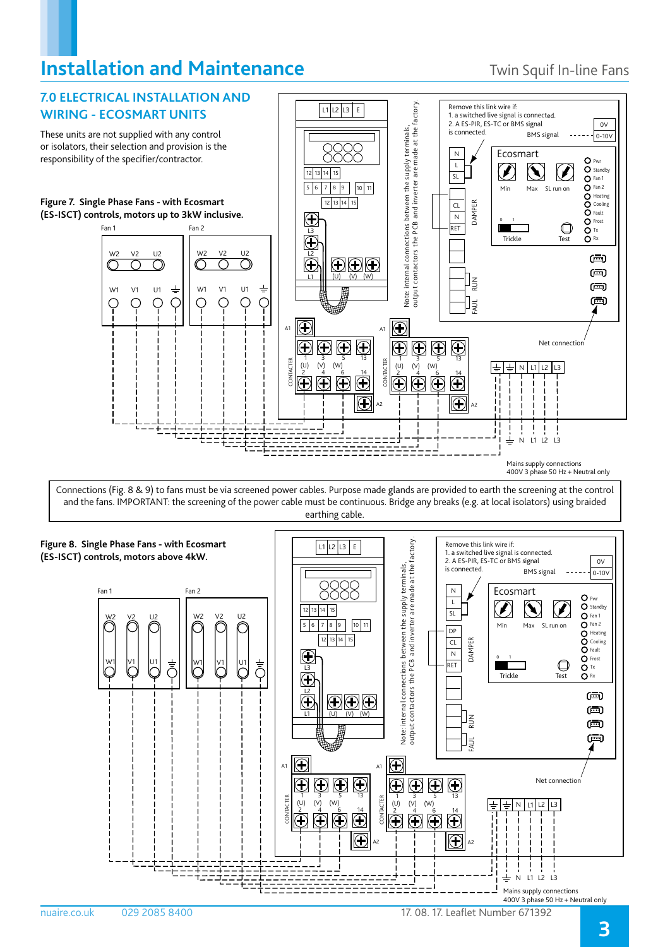# **Installation and Maintenance** Twin Squif In-line Fans



Connections (Fig. 8 & 9) to fans must be via screened power cables. Purpose made glands are provided to earth the screening at the control and the fans. IMPORTANT: the screening of the power cable must be continuous. Bridge any breaks (e.g. at local isolators) using braided earthing cable.

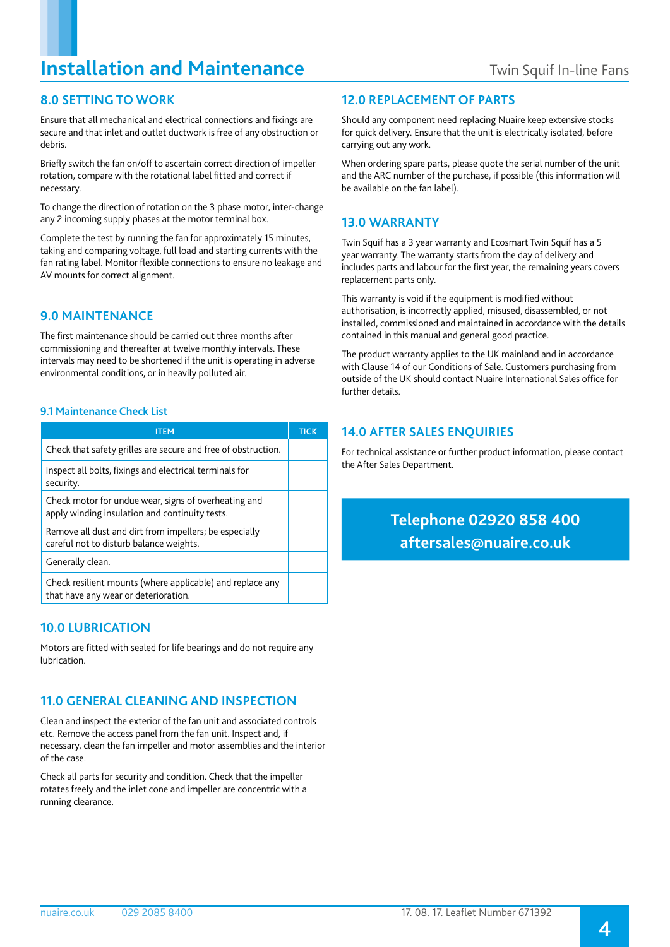# **Installation and Maintenance** Twin Squif In-line Fans

## **8.0 SETTING TO WORK**

Ensure that all mechanical and electrical connections and fixings are secure and that inlet and outlet ductwork is free of any obstruction or debris.

Briefly switch the fan on/off to ascertain correct direction of impeller rotation, compare with the rotational label fitted and correct if necessary.

To change the direction of rotation on the 3 phase motor, inter-change any 2 incoming supply phases at the motor terminal box.

Complete the test by running the fan for approximately 15 minutes, taking and comparing voltage, full load and starting currents with the fan rating label. Monitor flexible connections to ensure no leakage and AV mounts for correct alignment.

### **9.0 MAINTENANCE**

The first maintenance should be carried out three months after commissioning and thereafter at twelve monthly intervals. These intervals may need to be shortened if the unit is operating in adverse environmental conditions, or in heavily polluted air.

#### **9.1 Maintenance Check List**

| ITEM                                                                                                   | <b>TICK</b> |
|--------------------------------------------------------------------------------------------------------|-------------|
| Check that safety grilles are secure and free of obstruction.                                          |             |
| Inspect all bolts, fixings and electrical terminals for<br>security.                                   |             |
| Check motor for undue wear, signs of overheating and<br>apply winding insulation and continuity tests. |             |
| Remove all dust and dirt from impellers; be especially<br>careful not to disturb balance weights.      |             |
| Generally clean.                                                                                       |             |
| Check resilient mounts (where applicable) and replace any<br>that have any wear or deterioration.      |             |

### **10.0 LUBRICATION**

Motors are fitted with sealed for life bearings and do not require any lubrication.

### **11.0 GENERAL CLEANING AND INSPECTION**

Clean and inspect the exterior of the fan unit and associated controls etc. Remove the access panel from the fan unit. Inspect and, if necessary, clean the fan impeller and motor assemblies and the interior of the case.

Check all parts for security and condition. Check that the impeller rotates freely and the inlet cone and impeller are concentric with a running clearance.

#### **12.0 REPLACEMENT OF PARTS**

Should any component need replacing Nuaire keep extensive stocks for quick delivery. Ensure that the unit is electrically isolated, before carrying out any work.

When ordering spare parts, please quote the serial number of the unit and the ARC number of the purchase, if possible (this information will be available on the fan label).

#### **13.0 WARRANTY**

Twin Squif has a 3 year warranty and Ecosmart Twin Squif has a 5 year warranty. The warranty starts from the day of delivery and includes parts and labour for the first year, the remaining years covers replacement parts only.

This warranty is void if the equipment is modified without authorisation, is incorrectly applied, misused, disassembled, or not installed, commissioned and maintained in accordance with the details contained in this manual and general good practice.

The product warranty applies to the UK mainland and in accordance with Clause 14 of our Conditions of Sale. Customers purchasing from outside of the UK should contact Nuaire International Sales office for further details.

### **14.0 AFTER SALES ENQUIRIES**

For technical assistance or further product information, please contact the After Sales Department.

## **Telephone 02920 858 400 aftersales@nuaire.co.uk**